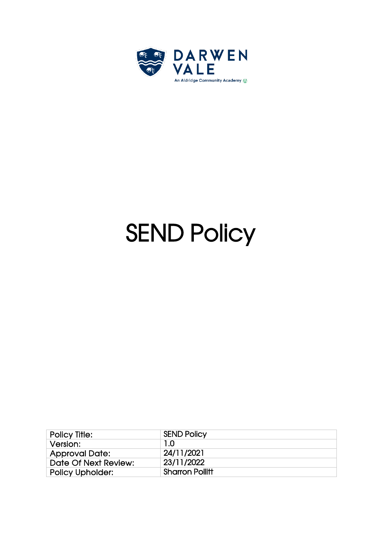

# **SEND Policy**

| <b>Policy Title:</b>    | <b>SEND Policy</b>     |
|-------------------------|------------------------|
| Version:                | 1.0                    |
| <b>Approval Date:</b>   | 24/11/2021             |
| Date Of Next Review:    | 23/11/2022             |
| <b>Policy Upholder:</b> | <b>Sharron Pollitt</b> |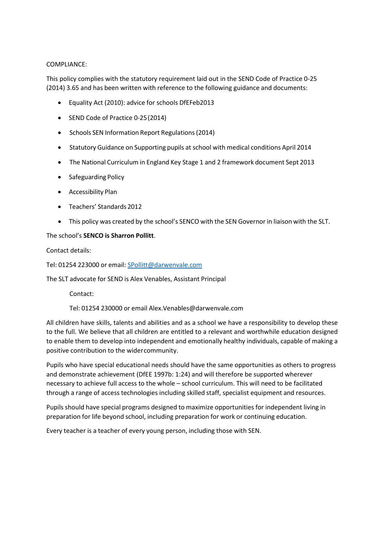# COMPLIANCE:

This policy complies with the statutory requirement laid out in the SEND Code of Practice 0-25 (2014) 3.65 and has been written with reference to the following guidance and documents:

- Equality Act (2010): advice for schools DfEFeb2013
- SEND Code of Practice 0-25(2014)
- Schools SEN Information Report Regulations(2014)
- Statutory Guidance on Supporting pupils at school with medical conditions April 2014
- The National Curriculum in England Key Stage 1 and 2 framework document Sept 2013
- Safeguarding Policy
- Accessibility Plan
- Teachers' Standards 2012
- This policy was created by the school's SENCO with the SEN Governorin liaison with the SLT.

# The school's **SENCO is Sharron Pollitt**.

Contact details:

Tel: 01254 223000 or email: [SPollitt@darwenvale.com](mailto:SPollitt@darwenvale.com)

The SLT advocate for SEND is Alex Venables, Assistant Principal

Contact:

Tel: 01254 230000 or email [Alex.Venables@darwenvale.com](mailto:Alex.Venables@darwenvale.com)

All children have skills, talents and abilities and as a school we have a responsibility to develop these to the full. We believe that all children are entitled to a relevant and worthwhile education designed to enable them to develop into independent and emotionally healthy individuals, capable of making a positive contribution to the widercommunity.

Pupils who have special educational needs should have the same opportunities as others to progress and demonstrate achievement (DfEE 1997b: 1:24) and will therefore be supported wherever necessary to achieve full access to the whole – school curriculum. This will need to be facilitated through a range of access technologies including skilled staff, specialist equipment and resources.

Pupils should have special programs designed to maximize opportunities for independent living in preparation for life beyond school, including preparation for work or continuing education.

Every teacher is a teacher of every young person, including those with SEN.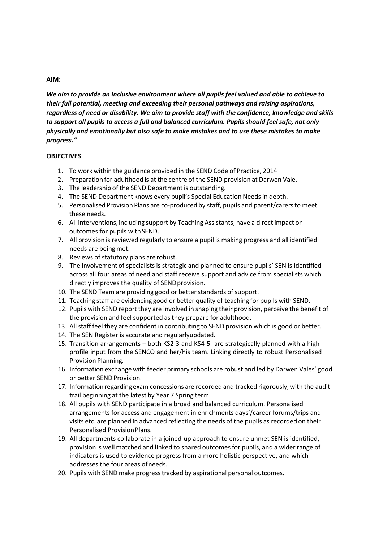# **AIM:**

*We aim to provide an Inclusive environment where all pupils feel valued and able to achieve to their full potential, meeting and exceeding their personal pathways and raising aspirations, regardless of need or disability. We aim to provide staff with the confidence, knowledge and skills to support all pupils to access a full and balanced curriculum. Pupils should feel safe, not only physically and emotionally but also safe to make mistakes and to use these mistakes to make progress."*

# **OBJECTIVES**

- 1. To work within the guidance provided in the SEND Code of Practice, 2014
- 2. Preparation for adulthood is at the centre of the SEND provision at Darwen Vale.
- 3. The leadership of the SEND Department is outstanding.
- 4. The SEND Department knows every pupil's Special Education Needs in depth.
- 5. Personalised Provision Plans are co-produced by staff, pupils and parent/carersto meet these needs.
- 6. All interventions, including support by Teaching Assistants, have a direct impact on outcomes for pupils with SEND.
- 7. All provision is reviewed regularly to ensure a pupil is making progress and all identified needs are beingmet.
- 8. Reviews of statutory plans arerobust.
- 9. The involvement of specialists is strategic and planned to ensure pupils' SEN is identified across all four areas of need and staff receive support and advice from specialists which directly improves the quality of SEND provision.
- 10. The SEND Team are providing good or better standards of support.
- 11. Teaching staff are evidencing good or better quality of teaching for pupils with SEND.
- 12. Pupils with SEND report they are involved in shaping their provision, perceive the benefit of the provision and feel supported asthey prepare for adulthood.
- 13. All staff feel they are confident in contributing to SEND provision which is good or better.
- 14. The SEN Register is accurate and regularlyupdated.
- 15. Transition arrangements both KS2-3 and KS4-5- are strategically planned with a highprofile input from the SENCO and her/his team. Linking directly to robust Personalised Provision Planning.
- 16. Information exchange with feeder primary schools are robust and led by Darwen Vales' good or better SEND Provision.
- 17. Information regarding exam concessions are recorded and tracked rigorously, with the audit trail beginning at the latest by Year 7 Spring term.
- 18. All pupils with SEND participate in a broad and balanced curriculum. Personalised arrangements for access and engagement in enrichments days'/career forums/trips and visits etc. are planned in advanced reflecting the needs of the pupils as recorded on their Personalised ProvisionPlans.
- 19. All departments collaborate in a joined-up approach to ensure unmet SEN is identified, provision is well matched and linked to shared outcomesfor pupils, and a wider range of indicators is used to evidence progress from a more holistic perspective, and which addresses the four areas ofneeds.
- 20. Pupils with SEND make progresstracked by aspirational personal outcomes.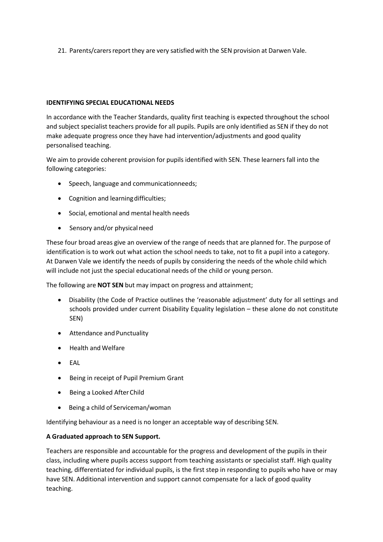21. Parents/carers report they are very satisfied with the SEN provision at Darwen Vale.

# **IDENTIFYING SPECIAL EDUCATIONAL NEEDS**

In accordance with the Teacher Standards, quality first teaching is expected throughout the school and subject specialist teachers provide for all pupils. Pupils are only identified as SEN if they do not make adequate progress once they have had intervention/adjustments and good quality personalised teaching.

We aim to provide coherent provision for pupils identified with SEN. These learners fall into the following categories:

- Speech, language and communicationneeds;
- Cognition and learningdifficulties;
- Social, emotional and mental health needs
- Sensory and/or physical need

These four broad areas give an overview of the range of needs that are planned for. The purpose of identification is to work out what action the school needs to take, not to fit a pupil into a category. At Darwen Vale we identify the needs of pupils by considering the needs of the whole child which will include not just the special educational needs of the child or young person.

The following are **NOT SEN** but may impact on progress and attainment;

- Disability (the Code of Practice outlines the 'reasonable adjustment' duty for all settings and schools provided under current Disability Equality legislation – these alone do not constitute SEN)
- Attendance and Punctuality
- Health and Welfare
- EAL
- Being in receipt of Pupil Premium Grant
- Being a Looked After Child
- Being a child of Serviceman/woman

Identifying behaviour as a need is no longer an acceptable way of describing SEN.

# **A Graduated approach to SEN Support.**

Teachers are responsible and accountable for the progress and development of the pupils in their class, including where pupils access support from teaching assistants or specialist staff. High quality teaching, differentiated for individual pupils, is the first step in responding to pupils who have or may have SEN. Additional intervention and support cannot compensate for a lack of good quality teaching.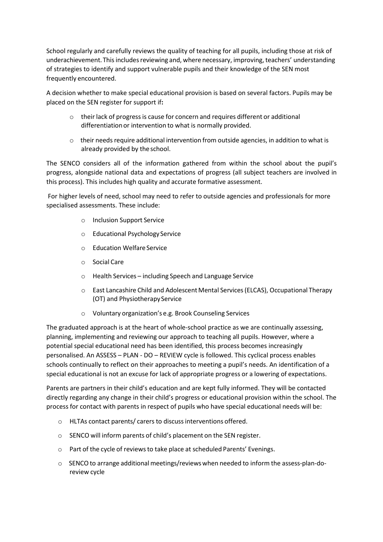School regularly and carefully reviews the quality of teaching for all pupils, including those at risk of underachievement. This includes reviewing and, where necessary, improving, teachers' understanding of strategies to identify and support vulnerable pupils and their knowledge of the SEN most frequently encountered.

A decision whether to make special educational provision is based on several factors. Pupils may be placed on the SEN register for support if**:** 

- $\circ$  their lack of progress is cause for concern and requires different or additional differentiation or intervention to what is normally provided.
- $\circ$  their needs require additional intervention from outside agencies, in addition to what is already provided by the school.

The SENCO considers all of the information gathered from within the school about the pupil's progress, alongside national data and expectations of progress (all subject teachers are involved in this process). This includes high quality and accurate formative assessment.

For higher levels of need, school may need to refer to outside agencies and professionals for more specialised assessments. These include:

- o Inclusion Support Service
- o Educational Psychology Service
- o Education WelfareService
- o Social Care
- o Health Services including Speech and Language Service
- o East Lancashire Child and Adolescent Mental Services(ELCAS), Occupational Therapy (OT) and Physiotherapy Service
- o Voluntary organization's e.g. Brook Counseling Services

The graduated approach is at the heart of whole-school practice as we are continually assessing, planning, implementing and reviewing our approach to teaching all pupils. However, where a potential special educational need has been identified, this process becomes increasingly personalised. An ASSESS – PLAN - DO – REVIEW cycle is followed. This cyclical process enables schools continually to reflect on their approaches to meeting a pupil's needs. An identification of a special educational is not an excuse for lack of appropriate progress or a lowering of expectations.

Parents are partners in their child's education and are kept fully informed. They will be contacted directly regarding any change in their child's progress or educational provision within the school. The process for contact with parents in respect of pupils who have special educational needs will be:

- o HLTAs contact parents/ carers to discussinterventions offered.
- o SENCO will inform parents of child's placement on the SEN register.
- o Part of the cycle of reviewsto take place at scheduled Parents' Evenings.
- $\circ$  SENCO to arrange additional meetings/reviews when needed to inform the assess-plan-doreview cycle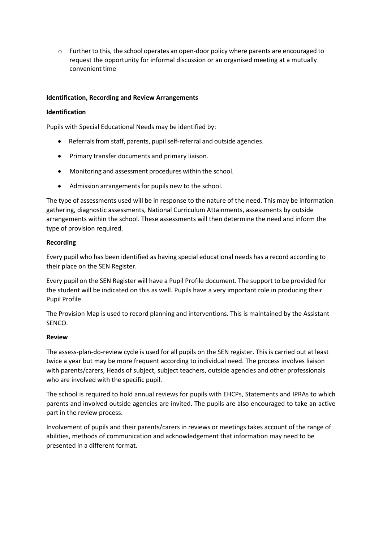$\circ$  Further to this, the school operates an open-door policy where parents are encouraged to request the opportunity for informal discussion or an organised meeting at a mutually convenient time

# **Identification, Recording and Review Arrangements**

# **Identification**

Pupils with Special Educational Needs may be identified by:

- Referrals from staff, parents, pupil self-referral and outside agencies.
- Primary transfer documents and primary liaison.
- Monitoring and assessment procedures within the school.
- Admission arrangements for pupils new to the school.

The type of assessments used will be in response to the nature of the need. This may be information gathering, diagnostic assessments, National Curriculum Attainments, assessments by outside arrangements within the school. These assessments will then determine the need and inform the type of provision required.

# **Recording**

Every pupil who has been identified as having special educational needs has a record according to their place on the SEN Register.

Every pupil on the SEN Register will have a Pupil Profile document. The support to be provided for the student will be indicated on this as well. Pupils have a very important role in producing their Pupil Profile.

The Provision Map is used to record planning and interventions. This is maintained by the Assistant SENCO.

# **Review**

The assess-plan-do-review cycle is used for all pupils on the SEN register. This is carried out at least twice a year but may be more frequent according to individual need. The process involves liaison with parents/carers, Heads of subject, subject teachers, outside agencies and other professionals who are involved with the specific pupil.

The school is required to hold annual reviews for pupils with EHCPs, Statements and IPRAs to which parents and involved outside agencies are invited. The pupils are also encouraged to take an active part in the review process.

Involvement of pupils and their parents/carers in reviews or meetings takes account of the range of abilities, methods of communication and acknowledgement that information may need to be presented in a different format.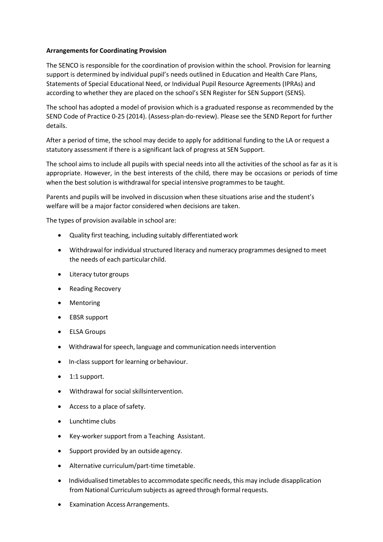# **Arrangementsfor Coordinating Provision**

The SENCO is responsible for the coordination of provision within the school. Provision for learning support is determined by individual pupil's needs outlined in Education and Health Care Plans, Statements of Special Educational Need, or Individual Pupil Resource Agreements (IPRAs) and according to whether they are placed on the school's SEN Register for SEN Support (SENS).

The school has adopted a model of provision which is a graduated response as recommended by the SEND Code of Practice 0-25 (2014). (Assess-plan-do-review). Please see the SEND Report for further details.

After a period of time, the school may decide to apply for additional funding to the LA or request a statutory assessment if there is a significant lack of progress at SEN Support.

The school aims to include all pupils with special needs into all the activities of the school as far as it is appropriate. However, in the best interests of the child, there may be occasions or periods of time when the best solution is withdrawal for special intensive programmes to be taught.

Parents and pupils will be involved in discussion when these situations arise and the student's welfare will be a major factor considered when decisions are taken.

The types of provision available in school are:

- Quality first teaching, including suitably differentiated work
- Withdrawal for individual structured literacy and numeracy programmes designed to meet the needs of each particular child.
- Literacy tutor groups
- Reading Recovery
- Mentoring
- EBSR support
- ELSA Groups
- Withdrawal for speech, language and communication needs intervention
- In-class support for learning orbehaviour.
- 1:1 support.
- Withdrawal for social skillsintervention.
- Access to a place of safety.
- Lunchtime clubs
- Key-worker support from a Teaching Assistant.
- Support provided by an outside agency.
- Alternative curriculum/part-time timetable.
- Individualised timetables to accommodate specific needs, this may include disapplication from National Curriculum subjects as agreed through formal requests.
- Examination Access Arrangements.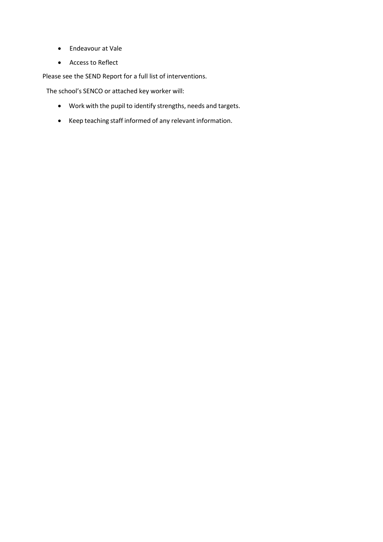- Endeavour at Vale
- Access to Reflect

Please see the SEND Report for a full list of interventions.

The school's SENCO or attached key worker will:

- Work with the pupil to identify strengths, needs and targets.
- Keep teaching staff informed of any relevant information.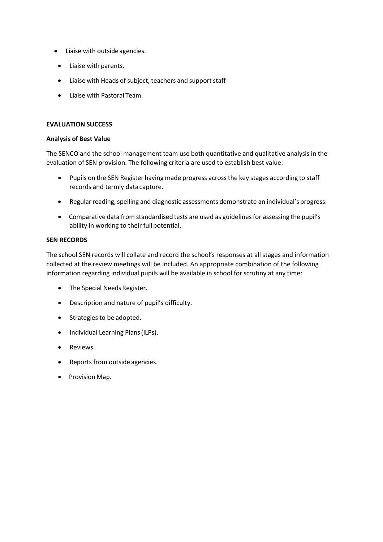- Liaise with outsideagencies.
- Liaise with parents.
- Liaise with Heads of subject, teachers and support staff
- Liaise with Pastoral Team.

#### **EVALUATION SUCCESS**

#### **Analysis of Best Value**

The SENCO and the school management team use both quantitative and qualitative analysis in the evaluation of SEN provision. The following criteria are used to establish best value:

- Pupils on the SEN Register having made progress acrossthe key stages according to staff records and termly datacapture.
- Regular reading, spelling and diagnostic assessments demonstrate an individual's progress.
- Comparative data from standardised tests are used as guidelines for assessing the pupil's ability in working to their full potential.

#### **SEN RECORDS**

The school SEN records will collate and record the school's responses at all stages and information collected at the review meetings will be included. An appropriate combination of the following information regarding individual pupils will be available in school for scrutiny at any time:

- The Special Needs Register.
- Description and nature of pupil's difficulty.
- Strategies to be adopted.
- Individual Learning Plans(ILPs).
- Reviews.
- Reports from outside agencies.
- Provision Map.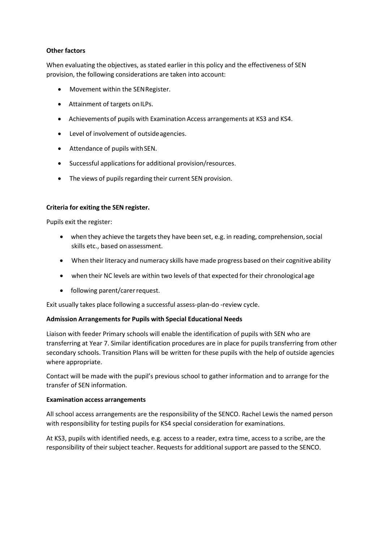# **Other factors**

When evaluating the objectives, as stated earlier in this policy and the effectiveness of SEN provision, the following considerations are taken into account:

- Movement within the SENRegister.
- Attainment of targets on ILPs.
- Achievementsof pupils with Examination Access arrangements at KS3 and KS4.
- Level of involvement of outsideagencies.
- Attendance of pupils withSEN.
- Successful applications for additional provision/resources.
- The views of pupils regarding their current SEN provision.

# **Criteria for exiting the SEN register.**

Pupils exit the register:

- when they achieve the targets they have been set, e.g. in reading, comprehension, social skills etc., based on assessment.
- When their literacy and numeracy skills have made progress based on their cognitive ability
- when their NC levels are within two levels of that expected for their chronological age
- following parent/carer request.

Exit usually takes place following a successful assess-plan-do -review cycle.

# **Admission Arrangements for Pupils with Special Educational Needs**

Liaison with feeder Primary schools will enable the identification of pupils with SEN who are transferring at Year 7. Similar identification procedures are in place for pupils transferring from other secondary schools. Transition Plans will be written for these pupils with the help of outside agencies where appropriate.

Contact will be made with the pupil's previous school to gather information and to arrange for the transfer of SEN information.

# **Examination access arrangements**

All school access arrangements are the responsibility of the SENCO. Rachel Lewis the named person with responsibility for testing pupils for KS4 special consideration for examinations.

At KS3, pupils with identified needs, e.g. access to a reader, extra time, access to a scribe, are the responsibility of their subject teacher. Requests for additional support are passed to the SENCO.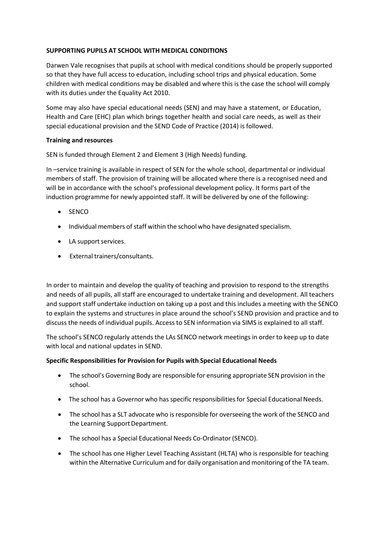# **SUPPORTING PUPILS AT SCHOOL WITH MEDICAL CONDITIONS**

Darwen Vale recognises that pupils at school with medical conditions should be properly supported so that they have full access to education, including school trips and physical education. Some children with medical conditions may be disabled and where this is the case the school will comply with its duties under the Equality Act 2010.

Some may also have special educational needs (SEN) and may have a statement, or Education, Health and Care (EHC) plan which brings together health and social care needs, as well as their special educational provision and the SEND Code of Practice (2014) is followed.

# **Training and resources**

SEN is funded through Element 2 and Element 3 (High Needs) funding.

In –service training is available in respect of SEN for the whole school, departmental or individual members of staff. The provision of training will be allocated where there is a recognised need and will be in accordance with the school's professional development policy. It forms part of the induction programme for newly appointed staff. It will be delivered by one of the following:

- SENCO
- Individual members of staff within the school who have designated specialism.
- LA support services.
- External trainers/consultants.

In order to maintain and develop the quality of teaching and provision to respond to the strengths and needs of all pupils, all staff are encouraged to undertake training and development. All teachers and support staff undertake induction on taking up a post and this includes a meeting with the SENCO to explain the systems and structures in place around the school's SEND provision and practice and to discuss the needs of individual pupils. Access to SEN information via SIMS is explained to all staff.

The school's SENCO regularly attends the LAs SENCO network meetings in order to keep up to date with local and national updates in SEND.

# **Specific Responsibilities for Provision for Pupils with Special Educational Needs**

- The school's Governing Body are responsible for ensuring appropriate SEN provision in the school.
- The school has a Governor who has specific responsibilities for Special Educational Needs.
- The school has a SLT advocate who is responsible for overseeing the work of the SENCO and the Learning Support Department.
- The school has a Special Educational Needs Co-Ordinator(SENCO).
- The school has one Higher Level Teaching Assistant (HLTA) who is responsible for teaching within the Alternative Curriculum and for daily organisation and monitoring of the TA team.